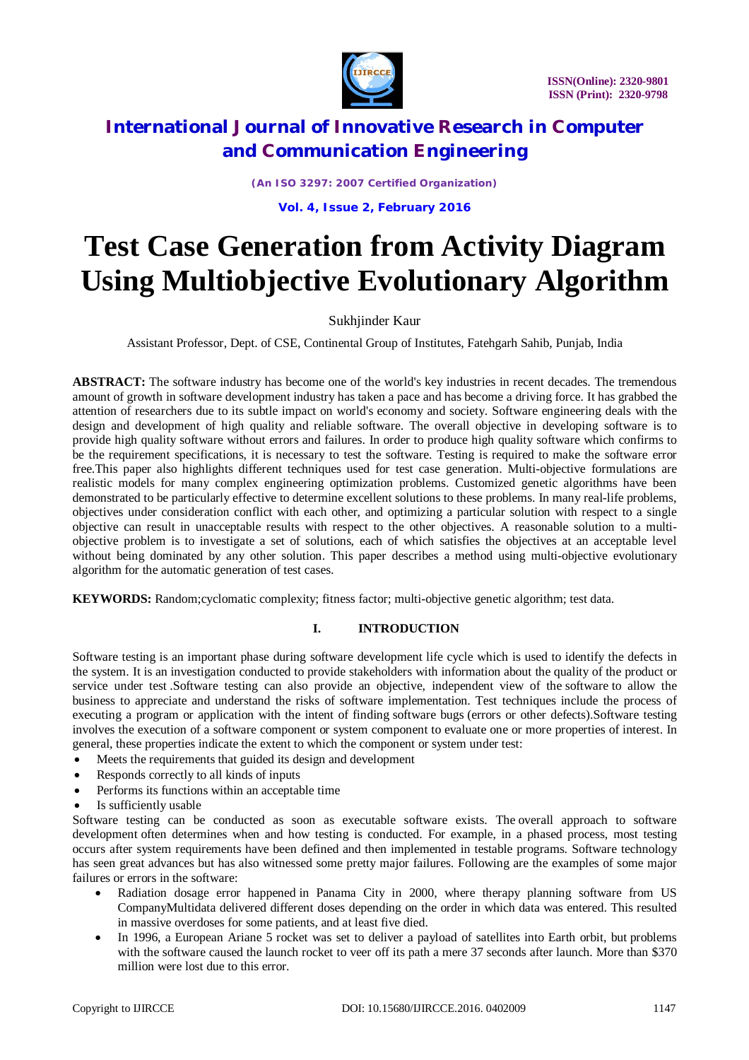

*(An ISO 3297: 2007 Certified Organization)*

**Vol. 4, Issue 2, February 2016**

# **Test Case Generation from Activity Diagram Using Multiobjective Evolutionary Algorithm**

### Sukhjinder Kaur

Assistant Professor, Dept. of CSE, Continental Group of Institutes, Fatehgarh Sahib, Punjab, India

**ABSTRACT:** The software industry has become one of the world's key industries in recent decades. The tremendous amount of growth in software development industry has taken a pace and has become a driving force. It has grabbed the attention of researchers due to its subtle impact on world's economy and society. Software engineering deals with the design and development of high quality and reliable software. The overall objective in developing software is to provide high quality software without errors and failures. In order to produce high quality software which confirms to be the requirement specifications, it is necessary to test the software. Testing is required to make the software error free.This paper also highlights different techniques used for test case generation. Multi-objective formulations are realistic models for many complex engineering optimization problems. Customized genetic algorithms have been demonstrated to be particularly effective to determine excellent solutions to these problems. In many real-life problems, objectives under consideration conflict with each other, and optimizing a particular solution with respect to a single objective can result in unacceptable results with respect to the other objectives. A reasonable solution to a multiobjective problem is to investigate a set of solutions, each of which satisfies the objectives at an acceptable level without being dominated by any other solution. This paper describes a method using multi-objective evolutionary algorithm for the automatic generation of test cases.

**KEYWORDS:** Random;cyclomatic complexity; fitness factor; multi-objective genetic algorithm; test data.

### **I. INTRODUCTION**

Software testing is an important phase during software development life cycle which is used to identify the defects in the system. It is an investigation conducted to provide stakeholders with information about the quality of the product or service under test .Software testing can also provide an objective, independent view of the software to allow the business to appreciate and understand the risks of software implementation. Test techniques include the process of executing a program or application with the intent of finding software bugs (errors or other defects).Software testing involves the execution of a software component or system component to evaluate one or more properties of interest. In general, these properties indicate the extent to which the component or system under test:

- Meets the requirements that guided its design and development
- Responds correctly to all kinds of inputs
- Performs its functions within an acceptable time
- Is sufficiently usable

Software testing can be conducted as soon as executable software exists. The overall approach to software development often determines when and how testing is conducted. For example, in a phased process, most testing occurs after system requirements have been defined and then implemented in testable programs. Software technology has seen great advances but has also witnessed some pretty major failures. Following are the examples of some major failures or errors in the software:

- Radiation dosage error happened in Panama City in 2000, where therapy planning software from US CompanyMultidata delivered different doses depending on the order in which data was entered. This resulted in massive overdoses for some patients, and at least five died.
- In 1996, a European Ariane 5 rocket was set to deliver a payload of satellites into Earth orbit, but problems with the software caused the launch rocket to veer off its path a mere 37 seconds after launch. More than \$370 million were lost due to this error.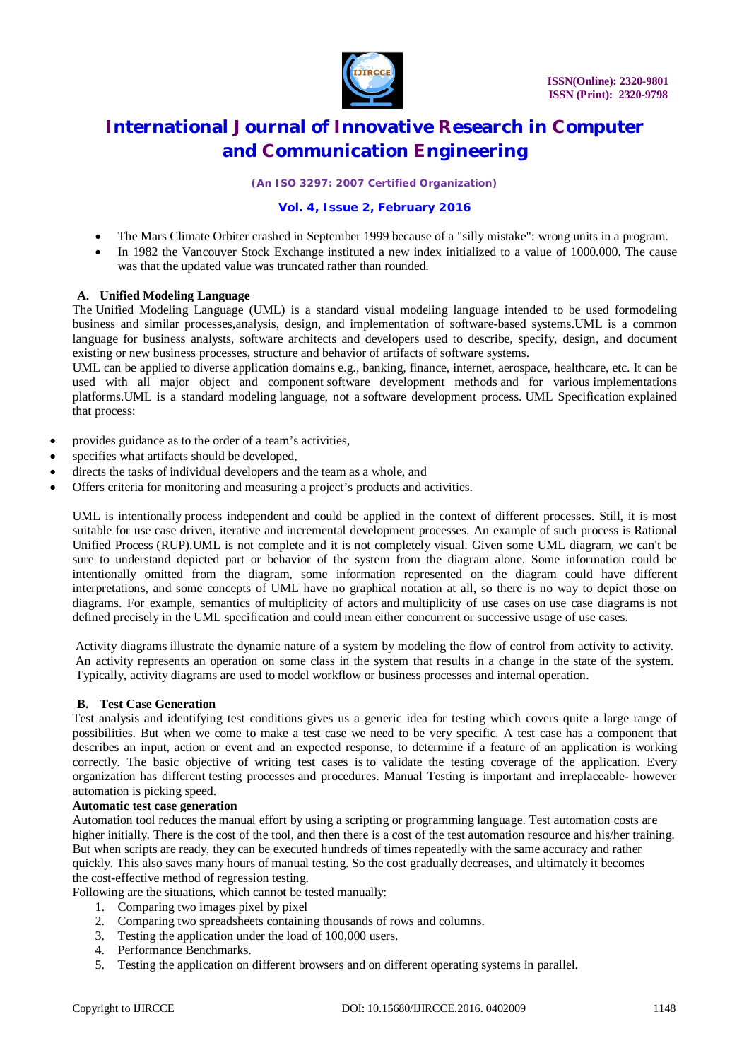

*(An ISO 3297: 2007 Certified Organization)*

### **Vol. 4, Issue 2, February 2016**

- The Mars Climate Orbiter crashed in September 1999 because of a "silly mistake": wrong units in a program.
- In 1982 the Vancouver Stock Exchange instituted a new index initialized to a value of 1000.000. The cause was that the updated value was truncated rather than rounded.

### **A. Unified Modeling Language**

The Unified Modeling Language (UML) is a standard visual modeling language intended to be used formodeling business and similar processes,analysis, design, and implementation of software-based systems.UML is a common language for business analysts, software architects and developers used to describe, specify, design, and document existing or new business processes, structure and behavior of artifacts of software systems.

UML can be applied to diverse application domains e.g., banking, finance, internet, aerospace, healthcare, etc. It can be used with all major object and component software development methods and for various implementations platforms.UML is a standard modeling language, not a software development process. UML Specification explained that process:

- provides guidance as to the order of a team's activities,
- specifies what artifacts should be developed,
- directs the tasks of individual developers and the team as a whole, and
- Offers criteria for monitoring and measuring a project's products and activities.

UML is intentionally process independent and could be applied in the context of different processes. Still, it is most suitable for use case driven, iterative and incremental development processes. An example of such process is Rational Unified Process (RUP).UML is not complete and it is not completely visual. Given some UML diagram, we can't be sure to understand depicted part or behavior of the system from the diagram alone. Some information could be intentionally omitted from the diagram, some information represented on the diagram could have different interpretations, and some concepts of UML have no graphical notation at all, so there is no way to depict those on diagrams. For example, semantics of multiplicity of actors and multiplicity of use cases on use case diagrams is not defined precisely in the UML specification and could mean either concurrent or successive usage of use cases.

Activity diagrams illustrate the dynamic nature of a system by modeling the flow of control from activity to activity. An activity represents an operation on some class in the system that results in a change in the state of the system. Typically, activity diagrams are used to model workflow or business processes and internal operation.

### **B. Test Case Generation**

Test analysis and identifying test conditions gives us a generic idea for testing which covers quite a large range of possibilities. But when we come to make a test case we need to be very specific. A test case has a component that describes an input, action or event and an expected response, to determine if a feature of an application is working correctly. The basic objective of writing test cases is to validate the testing coverage of the application. Every organization has different testing processes and procedures. Manual Testing is important and irreplaceable- however automation is picking speed.

#### **Automatic test case generation**

Automation tool reduces the manual effort by using a scripting or programming language. Test automation costs are higher initially. There is the cost of the tool, and then there is a cost of the test automation resource and his/her training. But when scripts are ready, they can be executed hundreds of times repeatedly with the same accuracy and rather quickly. This also saves many hours of manual testing. So the cost gradually decreases, and ultimately it becomes the cost-effective method of regression testing.

Following are the situations, which cannot be tested manually:

- 1. Comparing two images pixel by pixel
- 2. Comparing two spreadsheets containing thousands of rows and columns.
- 3. Testing the application under the load of 100,000 users.
- 4. Performance Benchmarks.
- 5. Testing the application on different browsers and on different operating systems in parallel.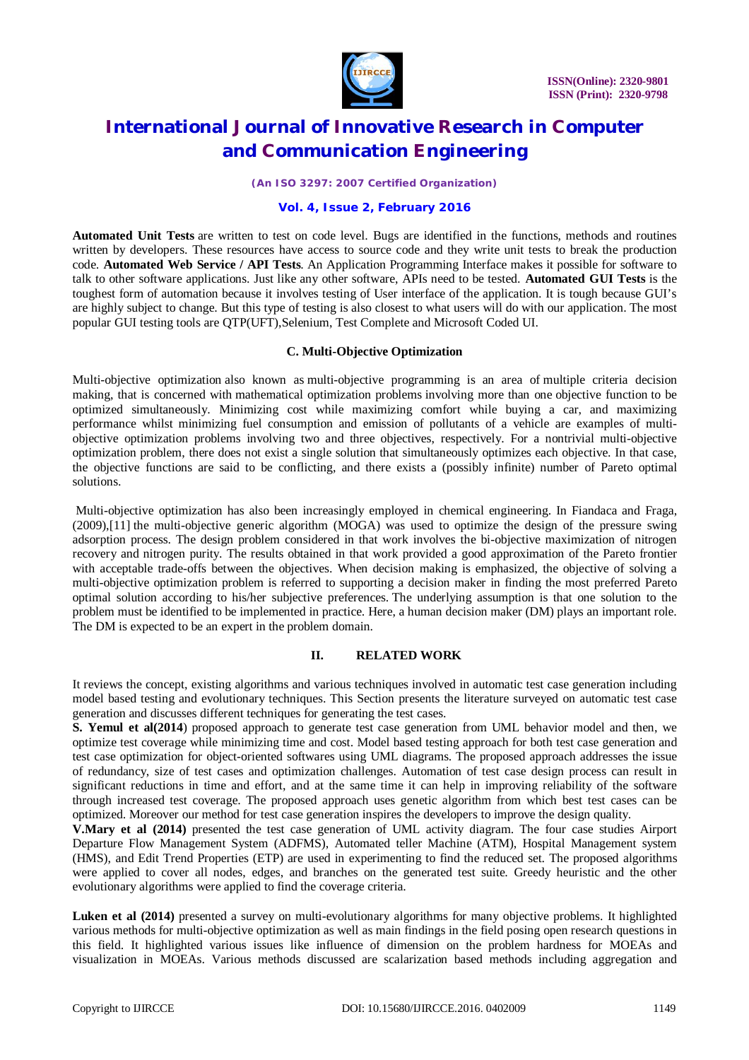

*(An ISO 3297: 2007 Certified Organization)*

### **Vol. 4, Issue 2, February 2016**

**Automated Unit Tests** are written to test on code level. Bugs are identified in the functions, methods and routines written by developers. These resources have access to source code and they write unit tests to break the production code. **Automated Web Service / API Tests**. An Application Programming Interface makes it possible for software to talk to other software applications. Just like any other software, APIs need to be tested. **Automated GUI Tests** is the toughest form of automation because it involves testing of User interface of the application. It is tough because GUI's are highly subject to change. But this type of testing is also closest to what users will do with our application. The most popular GUI testing tools are QTP(UFT),Selenium, Test Complete and Microsoft Coded UI.

### **C. Multi-Objective Optimization**

Multi-objective optimization also known as multi-objective programming is an area of multiple criteria decision making, that is concerned with mathematical optimization problems involving more than one objective function to be optimized simultaneously. Minimizing cost while maximizing comfort while buying a car, and maximizing performance whilst minimizing fuel consumption and emission of pollutants of a vehicle are examples of multiobjective optimization problems involving two and three objectives, respectively. For a nontrivial multi-objective optimization problem, there does not exist a single solution that simultaneously optimizes each objective. In that case, the objective functions are said to be conflicting, and there exists a (possibly infinite) number of Pareto optimal solutions.

Multi-objective optimization has also been increasingly employed in chemical engineering. In Fiandaca and Fraga, (2009),[11] the multi-objective generic algorithm (MOGA) was used to optimize the design of the pressure swing adsorption process. The design problem considered in that work involves the bi-objective maximization of nitrogen recovery and nitrogen purity. The results obtained in that work provided a good approximation of the Pareto frontier with acceptable trade-offs between the objectives. When decision making is emphasized, the objective of solving a multi-objective optimization problem is referred to supporting a decision maker in finding the most preferred Pareto optimal solution according to his/her subjective preferences. The underlying assumption is that one solution to the problem must be identified to be implemented in practice. Here, a human decision maker (DM) plays an important role. The DM is expected to be an expert in the problem domain.

### **II. RELATED WORK**

It reviews the concept, existing algorithms and various techniques involved in automatic test case generation including model based testing and evolutionary techniques. This Section presents the literature surveyed on automatic test case generation and discusses different techniques for generating the test cases.

**S. Yemul et al(2014**) proposed approach to generate test case generation from UML behavior model and then, we optimize test coverage while minimizing time and cost. Model based testing approach for both test case generation and test case optimization for object-oriented softwares using UML diagrams. The proposed approach addresses the issue of redundancy, size of test cases and optimization challenges. Automation of test case design process can result in significant reductions in time and effort, and at the same time it can help in improving reliability of the software through increased test coverage. The proposed approach uses genetic algorithm from which best test cases can be optimized. Moreover our method for test case generation inspires the developers to improve the design quality.

**V.Mary et al (2014)** presented the test case generation of UML activity diagram. The four case studies Airport Departure Flow Management System (ADFMS), Automated teller Machine (ATM), Hospital Management system (HMS), and Edit Trend Properties (ETP) are used in experimenting to find the reduced set. The proposed algorithms were applied to cover all nodes, edges, and branches on the generated test suite. Greedy heuristic and the other evolutionary algorithms were applied to find the coverage criteria.

Luken et al (2014) presented a survey on multi-evolutionary algorithms for many objective problems. It highlighted various methods for multi-objective optimization as well as main findings in the field posing open research questions in this field. It highlighted various issues like influence of dimension on the problem hardness for MOEAs and visualization in MOEAs. Various methods discussed are scalarization based methods including aggregation and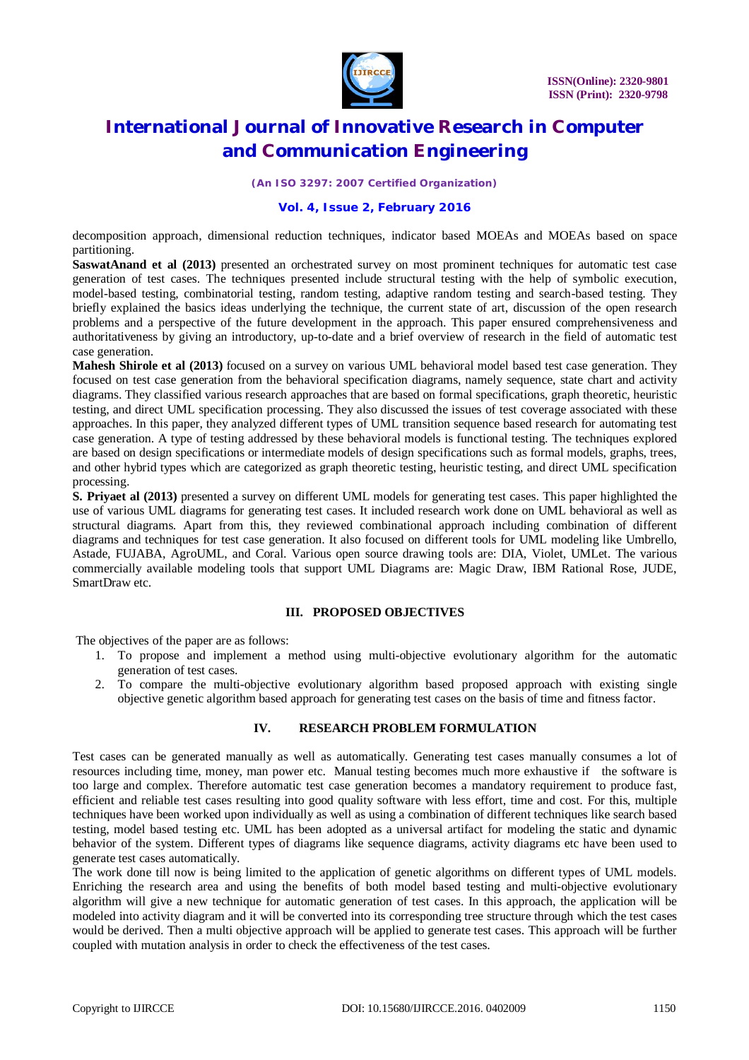

*(An ISO 3297: 2007 Certified Organization)*

### **Vol. 4, Issue 2, February 2016**

decomposition approach, dimensional reduction techniques, indicator based MOEAs and MOEAs based on space partitioning.

**SaswatAnand et al (2013)** presented an orchestrated survey on most prominent techniques for automatic test case generation of test cases. The techniques presented include structural testing with the help of symbolic execution, model-based testing, combinatorial testing, random testing, adaptive random testing and search-based testing. They briefly explained the basics ideas underlying the technique, the current state of art, discussion of the open research problems and a perspective of the future development in the approach. This paper ensured comprehensiveness and authoritativeness by giving an introductory, up-to-date and a brief overview of research in the field of automatic test case generation.

**Mahesh Shirole et al (2013)** focused on a survey on various UML behavioral model based test case generation. They focused on test case generation from the behavioral specification diagrams, namely sequence, state chart and activity diagrams. They classified various research approaches that are based on formal specifications, graph theoretic, heuristic testing, and direct UML specification processing. They also discussed the issues of test coverage associated with these approaches. In this paper, they analyzed different types of UML transition sequence based research for automating test case generation. A type of testing addressed by these behavioral models is functional testing. The techniques explored are based on design specifications or intermediate models of design specifications such as formal models, graphs, trees, and other hybrid types which are categorized as graph theoretic testing, heuristic testing, and direct UML specification processing.

**S. Priyaet al (2013)** presented a survey on different UML models for generating test cases. This paper highlighted the use of various UML diagrams for generating test cases. It included research work done on UML behavioral as well as structural diagrams. Apart from this, they reviewed combinational approach including combination of different diagrams and techniques for test case generation. It also focused on different tools for UML modeling like Umbrello, Astade, FUJABA, AgroUML, and Coral. Various open source drawing tools are: DIA, Violet, UMLet. The various commercially available modeling tools that support UML Diagrams are: Magic Draw, IBM Rational Rose, JUDE, SmartDraw etc.

### **III. PROPOSED OBJECTIVES**

The objectives of the paper are as follows:

- 1. To propose and implement a method using multi-objective evolutionary algorithm for the automatic generation of test cases.
- 2. To compare the multi-objective evolutionary algorithm based proposed approach with existing single objective genetic algorithm based approach for generating test cases on the basis of time and fitness factor.

### **IV. RESEARCH PROBLEM FORMULATION**

Test cases can be generated manually as well as automatically. Generating test cases manually consumes a lot of resources including time, money, man power etc. Manual testing becomes much more exhaustive if the software is too large and complex. Therefore automatic test case generation becomes a mandatory requirement to produce fast, efficient and reliable test cases resulting into good quality software with less effort, time and cost. For this, multiple techniques have been worked upon individually as well as using a combination of different techniques like search based testing, model based testing etc. UML has been adopted as a universal artifact for modeling the static and dynamic behavior of the system. Different types of diagrams like sequence diagrams, activity diagrams etc have been used to generate test cases automatically.

The work done till now is being limited to the application of genetic algorithms on different types of UML models. Enriching the research area and using the benefits of both model based testing and multi-objective evolutionary algorithm will give a new technique for automatic generation of test cases. In this approach, the application will be modeled into activity diagram and it will be converted into its corresponding tree structure through which the test cases would be derived. Then a multi objective approach will be applied to generate test cases. This approach will be further coupled with mutation analysis in order to check the effectiveness of the test cases.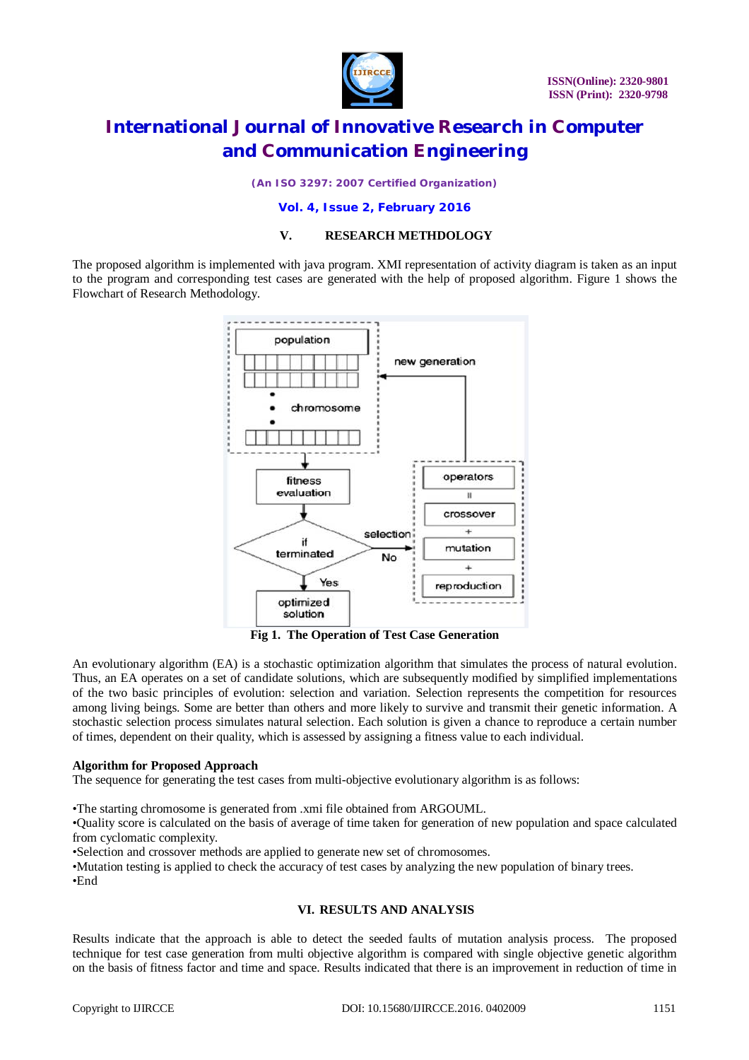

*(An ISO 3297: 2007 Certified Organization)*

#### **Vol. 4, Issue 2, February 2016**

### **V. RESEARCH METHDOLOGY**

The proposed algorithm is implemented with java program. XMI representation of activity diagram is taken as an input to the program and corresponding test cases are generated with the help of proposed algorithm. Figure 1 shows the Flowchart of Research Methodology.



**Fig 1. The Operation of Test Case Generation**

An evolutionary algorithm (EA) is a stochastic optimization algorithm that simulates the process of natural evolution. Thus, an EA operates on a set of candidate solutions, which are subsequently modified by simplified implementations of the two basic principles of evolution: selection and variation. Selection represents the competition for resources among living beings. Some are better than others and more likely to survive and transmit their genetic information. A stochastic selection process simulates natural selection. Each solution is given a chance to reproduce a certain number of times, dependent on their quality, which is assessed by assigning a fitness value to each individual.

### **Algorithm for Proposed Approach**

The sequence for generating the test cases from multi-objective evolutionary algorithm is as follows:

•The starting chromosome is generated from .xmi file obtained from ARGOUML.

•Quality score is calculated on the basis of average of time taken for generation of new population and space calculated from cyclomatic complexity.

•Selection and crossover methods are applied to generate new set of chromosomes.

•Mutation testing is applied to check the accuracy of test cases by analyzing the new population of binary trees. •End

### **VI. RESULTS AND ANALYSIS**

Results indicate that the approach is able to detect the seeded faults of mutation analysis process. The proposed technique for test case generation from multi objective algorithm is compared with single objective genetic algorithm on the basis of fitness factor and time and space. Results indicated that there is an improvement in reduction of time in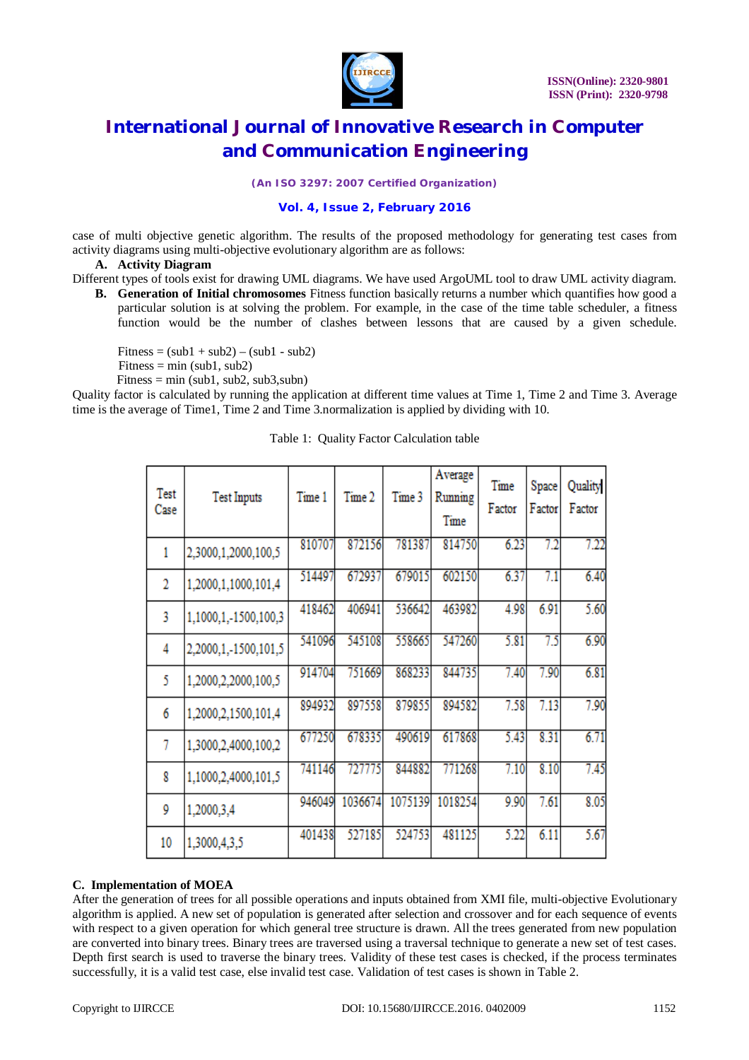

*(An ISO 3297: 2007 Certified Organization)*

### **Vol. 4, Issue 2, February 2016**

case of multi objective genetic algorithm. The results of the proposed methodology for generating test cases from activity diagrams using multi-objective evolutionary algorithm are as follows:

#### **A. Activity Diagram**

Different types of tools exist for drawing UML diagrams. We have used ArgoUML tool to draw UML activity diagram.

**B. Generation of Initial chromosomes** Fitness function basically returns a number which quantifies how good a particular solution is at solving the problem. For example, in the case of the time table scheduler, a fitness function would be the number of clashes between lessons that are caused by a given schedule.

Fitness =  $(sub1 + sub2) - (sub1 - sub2)$  $Fitness = min (sub1, sub2)$ Fitness = min (sub1, sub2, sub3, subn)

Quality factor is calculated by running the application at different time values at Time 1, Time 2 and Time 3. Average time is the average of Time1, Time 2 and Time 3.normalization is applied by dividing with 10.

| Test<br>Case   | <b>Test Inputs</b>   | Time 1 | Time 2  | Time 3  | Average<br>Running<br>Time | Time<br>Factor | Space<br>Factor | Quality<br>Factor |
|----------------|----------------------|--------|---------|---------|----------------------------|----------------|-----------------|-------------------|
| 1              | 2,3000,1,2000,100,5  | 810707 | 872156  | 781387  | 814750                     | 6.23           | 7.2             | 7.22              |
| $\overline{2}$ | 1,2000,1,1000,101,4  | 514497 | 672937  | 679015  | 602150                     | 6.37           | 7.1             | 6.40              |
| 3              | 1,1000,1,-1500,100,3 | 418462 | 406941  | 536642  | 463982                     | 4.98           | 6.91            | 5.60              |
| 4              | 2,2000,1,-1500,101,5 | 541096 | 545108  | 558665  | 547260                     | 5.81           | 7.5             | 6.90              |
| 5              | 1,2000,2,2000,100,5  | 914704 | 751669  | 868233  | 844735                     | 7.40           | 7.90            | 6.81              |
| 6              | 1,2000,2,1500,101,4  | 894932 | 897558  | 879855  | 894582                     | 7.58           | 7.13            | 7.90              |
| 7              | 1,3000,2,4000,100,2  | 677250 | 678335  | 490619  | 617868                     | 5.43           | 8.31            | 6.71              |
| 8              | 1,1000,2,4000,101,5  | 741146 | 727775  | 844882  | 771268                     | 7.10           | 8.10            | 7.45              |
| 9              | 1,2000,3,4           | 946049 | 1036674 | 1075139 | 1018254                    | 9.90           | 7.61            | 8.05              |
| 10             | 1,3000,4,3,5         | 401438 | 527185  | 524753  | 481125                     | 5.22           | 6.11            | 5.67              |

|  |  |  | Table 1: Quality Factor Calculation table |  |
|--|--|--|-------------------------------------------|--|
|--|--|--|-------------------------------------------|--|

### **C. Implementation of MOEA**

After the generation of trees for all possible operations and inputs obtained from XMI file, multi-objective Evolutionary algorithm is applied. A new set of population is generated after selection and crossover and for each sequence of events with respect to a given operation for which general tree structure is drawn. All the trees generated from new population are converted into binary trees. Binary trees are traversed using a traversal technique to generate a new set of test cases. Depth first search is used to traverse the binary trees. Validity of these test cases is checked, if the process terminates successfully, it is a valid test case, else invalid test case. Validation of test cases is shown in Table 2.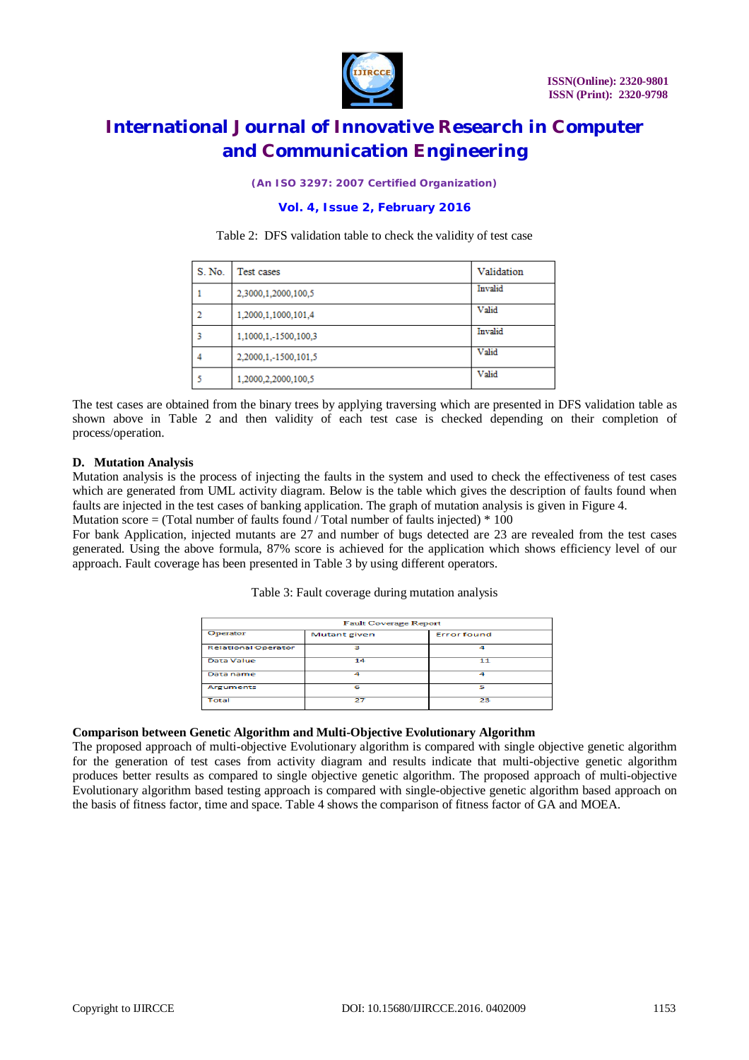

*(An ISO 3297: 2007 Certified Organization)*

### **Vol. 4, Issue 2, February 2016**

Table 2: DFS validation table to check the validity of test case

| S. No. | Test cases           | Validation |
|--------|----------------------|------------|
|        | 2,3000,1,2000,100,5  | Invalid    |
|        | 1,2000,1,1000,101,4  | Valid      |
|        | 1,1000,1,-1500,100,3 | Invalid    |
|        | 2,2000,1,-1500,101,5 | Valid      |
|        | 1,2000,2,2000,100,5  | Valid      |

The test cases are obtained from the binary trees by applying traversing which are presented in DFS validation table as shown above in Table 2 and then validity of each test case is checked depending on their completion of process/operation.

#### **D. Mutation Analysis**

Mutation analysis is the process of injecting the faults in the system and used to check the effectiveness of test cases which are generated from UML activity diagram. Below is the table which gives the description of faults found when faults are injected in the test cases of banking application. The graph of mutation analysis is given in Figure 4. Mutation score  $=$  (Total number of faults found / Total number of faults injected)  $*$  100

For bank Application, injected mutants are 27 and number of bugs detected are 23 are revealed from the test cases generated. Using the above formula, 87% score is achieved for the application which shows efficiency level of our approach. Fault coverage has been presented in Table 3 by using different operators.

|  | Table 3: Fault coverage during mutation analysis |  |  |
|--|--------------------------------------------------|--|--|
|  |                                                  |  |  |

| Fault Coverage Report      |              |                    |  |  |  |
|----------------------------|--------------|--------------------|--|--|--|
| Operator                   | Mutant given | <b>Error found</b> |  |  |  |
| <b>Relational Operator</b> | з            | Δ                  |  |  |  |
| <b>Data Value</b>          | 14           | 11                 |  |  |  |
| Data name                  | A            | A                  |  |  |  |
| Arguments                  | 6            | 5                  |  |  |  |
| Total                      | 27           | 23                 |  |  |  |

### **Comparison between Genetic Algorithm and Multi-Objective Evolutionary Algorithm**

The proposed approach of multi-objective Evolutionary algorithm is compared with single objective genetic algorithm for the generation of test cases from activity diagram and results indicate that multi-objective genetic algorithm produces better results as compared to single objective genetic algorithm. The proposed approach of multi-objective Evolutionary algorithm based testing approach is compared with single-objective genetic algorithm based approach on the basis of fitness factor, time and space. Table 4 shows the comparison of fitness factor of GA and MOEA.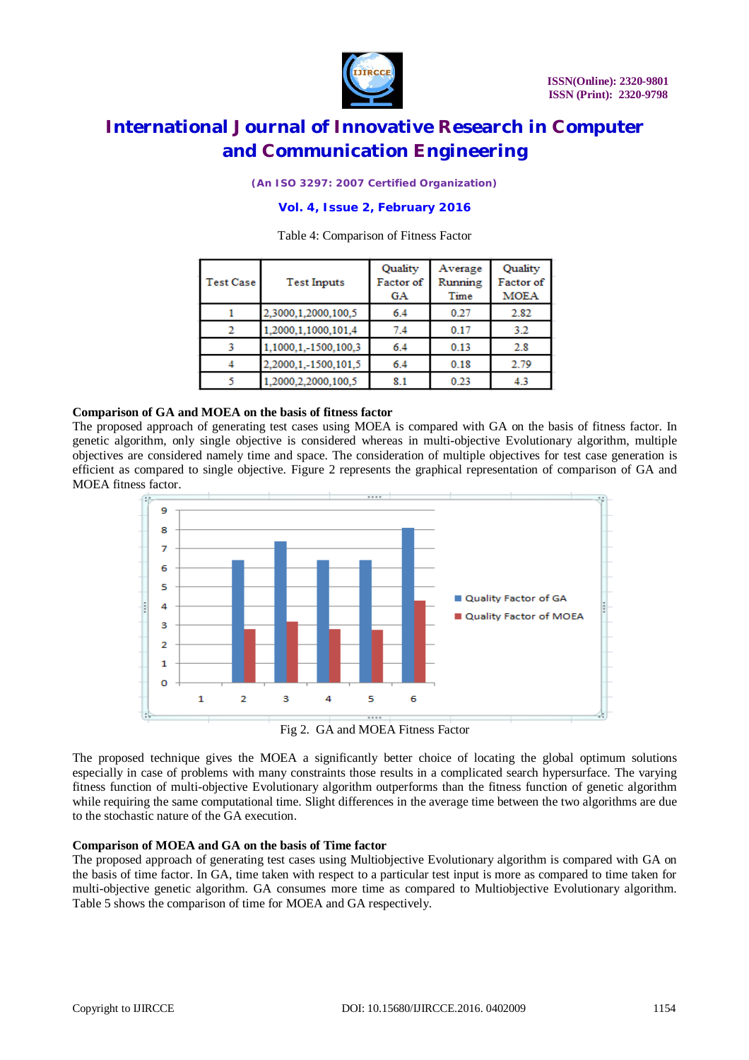

*(An ISO 3297: 2007 Certified Organization)*

### **Vol. 4, Issue 2, February 2016**

| <b>Test Case</b> | <b>Test Inputs</b>   | Quality<br>Factor of<br>GА | Average<br>Running<br>Time | Quality<br>Factor of<br><b>MOEA</b> |
|------------------|----------------------|----------------------------|----------------------------|-------------------------------------|
|                  | 2.3000.1.2000.100.5  | 6.4                        | 0.27                       | 2.82                                |
|                  | 1.2000.1.1000.101.4  | 7.4                        | 0.17                       | 3.2                                 |
|                  | 1,1000,1,-1500,100,3 | 6.4                        | 0.13                       | 2.8                                 |
|                  | 2.2000.1.-1500.101.5 | 6.4                        | 0.18                       | 2.79                                |
|                  | 1,2000,2,2000,100,5  | 8.1                        | 0.23                       | 4.3                                 |

#### Table 4: Comparison of Fitness Factor

#### **Comparison of GA and MOEA on the basis of fitness factor**

The proposed approach of generating test cases using MOEA is compared with GA on the basis of fitness factor. In genetic algorithm, only single objective is considered whereas in multi-objective Evolutionary algorithm, multiple objectives are considered namely time and space. The consideration of multiple objectives for test case generation is efficient as compared to single objective. Figure 2 represents the graphical representation of comparison of GA and MOEA fitness factor.



Fig 2. GA and MOEA Fitness Factor

The proposed technique gives the MOEA a significantly better choice of locating the global optimum solutions especially in case of problems with many constraints those results in a complicated search hypersurface. The varying fitness function of multi-objective Evolutionary algorithm outperforms than the fitness function of genetic algorithm while requiring the same computational time. Slight differences in the average time between the two algorithms are due to the stochastic nature of the GA execution.

#### **Comparison of MOEA and GA on the basis of Time factor**

The proposed approach of generating test cases using Multiobjective Evolutionary algorithm is compared with GA on the basis of time factor. In GA, time taken with respect to a particular test input is more as compared to time taken for multi-objective genetic algorithm. GA consumes more time as compared to Multiobjective Evolutionary algorithm. Table 5 shows the comparison of time for MOEA and GA respectively.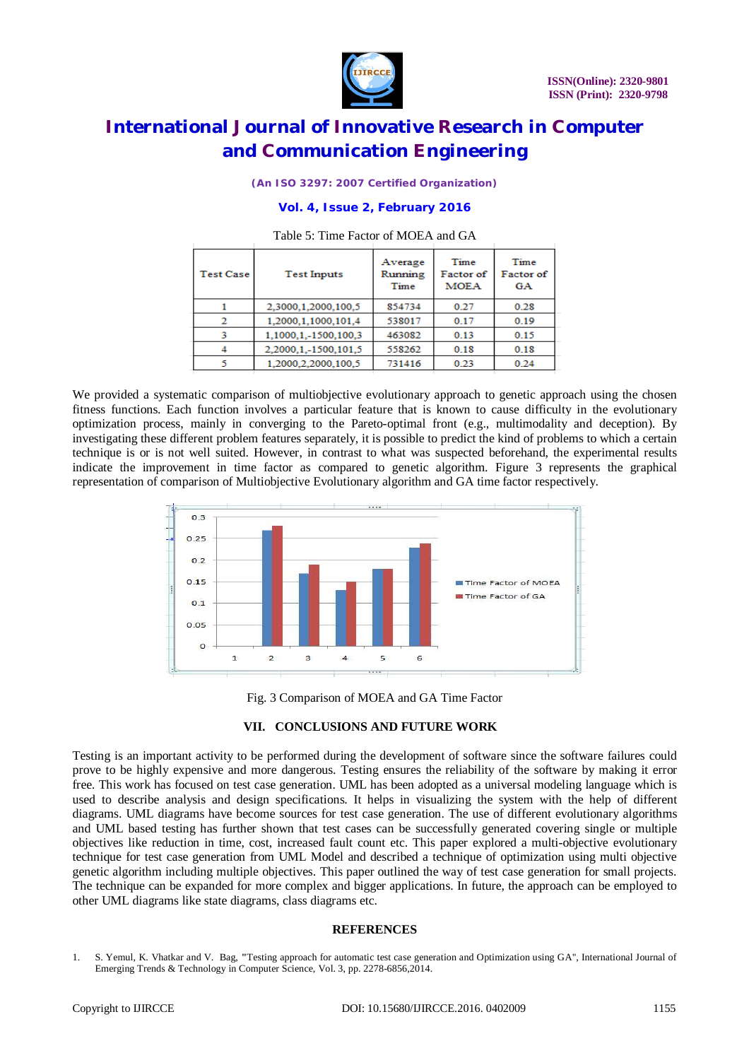

*(An ISO 3297: 2007 Certified Organization)*

#### **Vol. 4, Issue 2, February 2016**

| <b>Test Case</b> | <b>Test Inputs</b>   | Average<br>Rumming<br>Time | Time<br>Factor of<br><b>MOEA</b> | Time<br>Factor of<br>GA |
|------------------|----------------------|----------------------------|----------------------------------|-------------------------|
|                  | 2,3000,1,2000,100,5  | 854734                     | 0.27                             | 0.28                    |
|                  | 1.2000.1.1000.101.4  | 538017                     | 0.17                             | 0.19                    |
| 3                | 1,1000,1,-1500,100,3 | 463082                     | 0.13                             | 0.15                    |
|                  | 2.2000.1.-1500.101.5 | 558262                     | 0.18                             | 0.18                    |
|                  | 1.2000.2.2000.100.5  | 731416                     | 0.23                             | 0.24                    |

#### Table 5: Time Factor of MOEA and GA

We provided a systematic comparison of multiobjective evolutionary approach to genetic approach using the chosen fitness functions. Each function involves a particular feature that is known to cause difficulty in the evolutionary optimization process, mainly in converging to the Pareto-optimal front (e.g., multimodality and deception). By investigating these different problem features separately, it is possible to predict the kind of problems to which a certain technique is or is not well suited. However, in contrast to what was suspected beforehand, the experimental results indicate the improvement in time factor as compared to genetic algorithm. Figure 3 represents the graphical representation of comparison of Multiobjective Evolutionary algorithm and GA time factor respectively.



Fig. 3 Comparison of MOEA and GA Time Factor

#### **VII. CONCLUSIONS AND FUTURE WORK**

Testing is an important activity to be performed during the development of software since the software failures could prove to be highly expensive and more dangerous. Testing ensures the reliability of the software by making it error free. This work has focused on test case generation. UML has been adopted as a universal modeling language which is used to describe analysis and design specifications. It helps in visualizing the system with the help of different diagrams. UML diagrams have become sources for test case generation. The use of different evolutionary algorithms and UML based testing has further shown that test cases can be successfully generated covering single or multiple objectives like reduction in time, cost, increased fault count etc. This paper explored a multi-objective evolutionary technique for test case generation from UML Model and described a technique of optimization using multi objective genetic algorithm including multiple objectives. This paper outlined the way of test case generation for small projects. The technique can be expanded for more complex and bigger applications. In future, the approach can be employed to other UML diagrams like state diagrams, class diagrams etc.

#### **REFERENCES**

1. S. Yemul, K. Vhatkar and V. Bag, **"**Testing approach for automatic test case generation and Optimization using GA", International Journal of Emerging Trends & Technology in Computer Science, Vol. 3, pp. 2278-6856,2014.